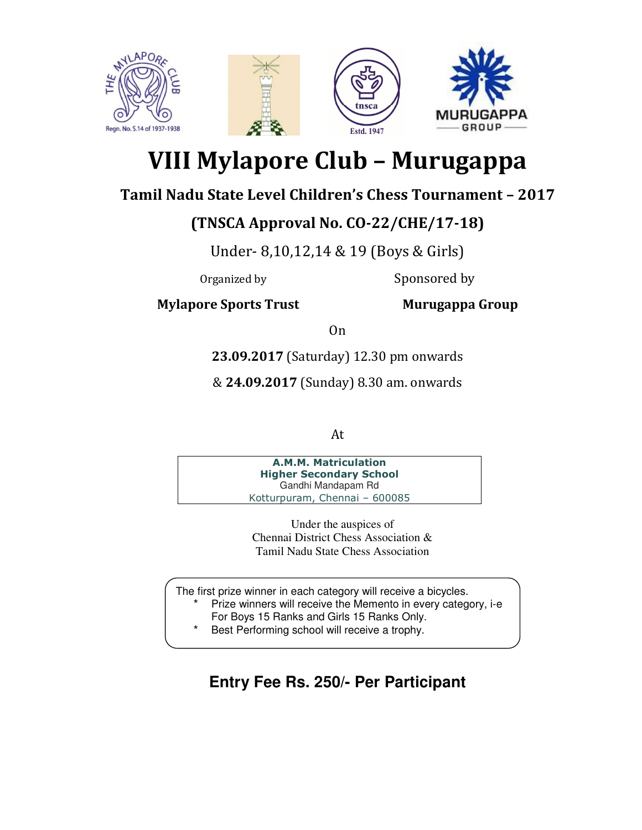

# **VIII Mylapore Club – Murugappa**

### **Tamil Nadu State Level Children's Chess Tournament – 2017**

## **(TNSCA Approval No. CO-22/CHE/17-18)**

Under- 8,10,12,14 & 19 (Boys & Girls)

Organized by Sponsored by

**Mylapore Sports Trust Murugappa Group** 

On

**23.09.2017** (Saturday) 12.30 pm onwards

& **24.09.2017** (Sunday) 8.30 am. onwards

At

**A.M.M. Matriculation Higher Secondary School** Gandhi Mandapam Rd Kotturpuram, Chennai – 600085

> Under the auspices of Chennai District Chess Association & Tamil Nadu State Chess Association

The first prize winner in each category will receive a bicycles. Prize winners will receive the Memento in every category, i-e For Boys 15 Ranks and Girls 15 Ranks Only.

Best Performing school will receive a trophy.

## **Entry Fee Rs. 250/- Per Participant**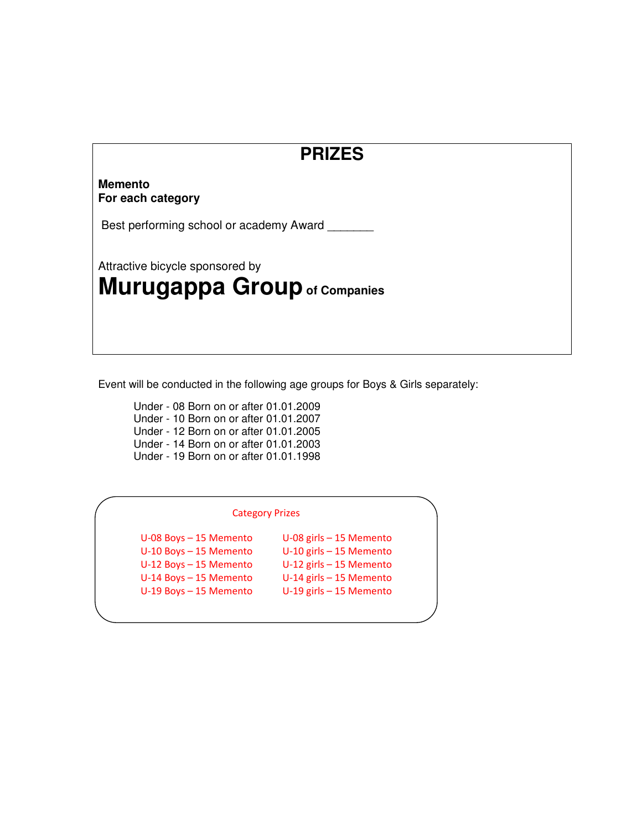## **PRIZES**

#### **Memento For each category**

Best performing school or academy Award

Attractive bicycle sponsored by

# **Murugappa Group of Companies**

Event will be conducted in the following age groups for Boys & Girls separately:

 Under - 08 Born on or after 01.01.2009 Under - 10 Born on or after 01.01.2007 Under - 12 Born on or after 01.01.2005 Under - 14 Born on or after 01.01.2003 Under - 19 Born on or after 01.01.1998

#### Category Prizes

 $U$ -08 Boys – 15 Memento  $U-10$  Boys – 15 Memento

**U-08 girls - 15 Memento<br>U-10 girls - 15 Memento** U-12 Boys – 15 Memento U-12 girls – 15 Memento U-14 Boys – 15 Memento U-14 girls – 15 Memento U-19 Boys – 15 Memento U-19 girls – 15 Memento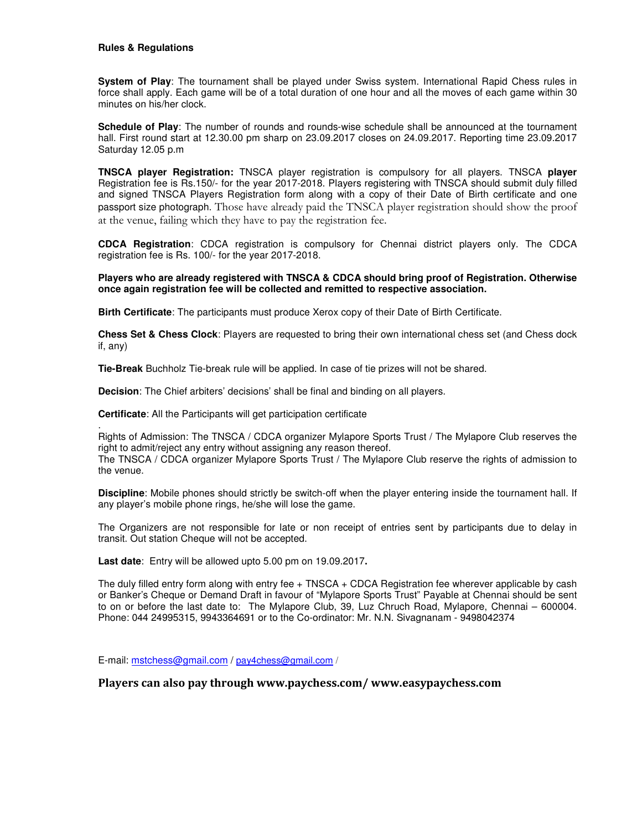#### **Rules & Regulations**

.

**System of Play**: The tournament shall be played under Swiss system. International Rapid Chess rules in force shall apply. Each game will be of a total duration of one hour and all the moves of each game within 30 minutes on his/her clock.

**Schedule of Play**: The number of rounds and rounds-wise schedule shall be announced at the tournament hall. First round start at 12.30.00 pm sharp on 23.09.2017 closes on 24.09.2017. Reporting time 23.09.2017 Saturday 12.05 p.m

**TNSCA player Registration:** TNSCA player registration is compulsory for all players. TNSCA **player** Registration fee is Rs.150/- for the year 2017-2018. Players registering with TNSCA should submit duly filled and signed TNSCA Players Registration form along with a copy of their Date of Birth certificate and one passport size photograph. Those have already paid the TNSCA player registration should show the proof at the venue, failing which they have to pay the registration fee.

**CDCA Registration**: CDCA registration is compulsory for Chennai district players only. The CDCA registration fee is Rs. 100/- for the year 2017-2018.

#### **Players who are already registered with TNSCA & CDCA should bring proof of Registration. Otherwise once again registration fee will be collected and remitted to respective association.**

**Birth Certificate**: The participants must produce Xerox copy of their Date of Birth Certificate.

**Chess Set & Chess Clock**: Players are requested to bring their own international chess set (and Chess dock if, any)

**Tie-Break** Buchholz Tie-break rule will be applied. In case of tie prizes will not be shared.

**Decision**: The Chief arbiters' decisions' shall be final and binding on all players.

**Certificate**: All the Participants will get participation certificate

Rights of Admission: The TNSCA / CDCA organizer Mylapore Sports Trust / The Mylapore Club reserves the right to admit/reject any entry without assigning any reason thereof.

The TNSCA / CDCA organizer Mylapore Sports Trust / The Mylapore Club reserve the rights of admission to the venue.

**Discipline**: Mobile phones should strictly be switch-off when the player entering inside the tournament hall. If any player's mobile phone rings, he/she will lose the game.

The Organizers are not responsible for late or non receipt of entries sent by participants due to delay in transit. Out station Cheque will not be accepted.

**Last date**: Entry will be allowed upto 5.00 pm on 19.09.2017**.**

The duly filled entry form along with entry fee + TNSCA + CDCA Registration fee wherever applicable by cash or Banker's Cheque or Demand Draft in favour of "Mylapore Sports Trust" Payable at Chennai should be sent to on or before the last date to: The Mylapore Club, 39, Luz Chruch Road, Mylapore, Chennai – 600004. Phone: 044 24995315, 9943364691 or to the Co-ordinator: Mr. N.N. Sivagnanam - 9498042374

E-mail: mstchess@gmail.com / pay4chess@gmail.com /

**Players can also pay through www.paychess.com/ www.easypaychess.com**